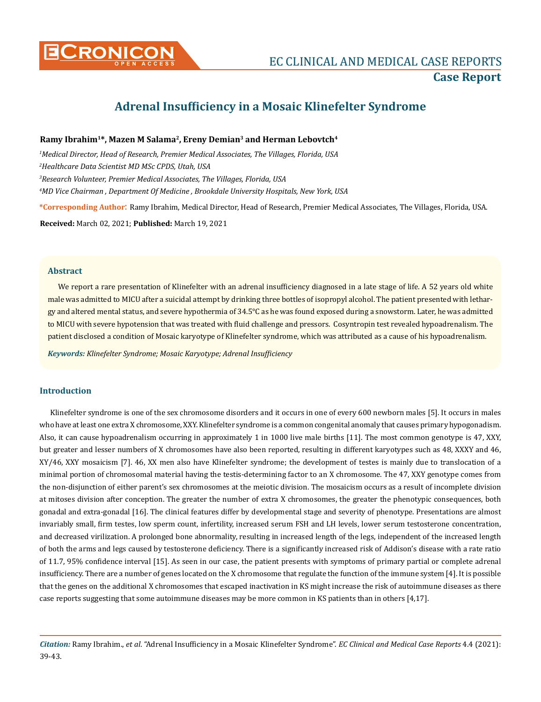

# **Adrenal Insufficiency in a Mosaic Klinefelter Syndrome**

## **Ramy Ibrahim<sup>1</sup>\*, Mazen M Salama<sup>2</sup>, Ereny Demian<sup>3</sup> and Herman Lebovtch<sup>4</sup>**

 *Medical Director, Head of Research, Premier Medical Associates, The Villages, Florida, USA Healthcare Data Scientist MD MSc CPDS, Utah, USA Research Volunteer, Premier Medical Associates, The Villages, Florida, USA MD Vice Chairman , Department Of Medicine , Brookdale University Hospitals, New York, USA*  **\*Corresponding Author**: Ramy Ibrahim, Medical Director, Head of Research, Premier Medical Associates, The Villages, Florida, USA.

**Received:** March 02, 2021; **Published:** March 19, 2021

#### **Abstract**

We report a rare presentation of Klinefelter with an adrenal insufficiency diagnosed in a late stage of life. A 52 years old white male was admitted to MICU after a suicidal attempt by drinking three bottles of isopropyl alcohol. The patient presented with lethargy and altered mental status, and severe hypothermia of 34.5°C as he was found exposed during a snowstorm. Later, he was admitted to MICU with severe hypotension that was treated with fluid challenge and pressors.  Cosyntropin test revealed hypoadrenalism. The patient disclosed a condition of Mosaic karyotype of Klinefelter syndrome, which was attributed as a cause of his hypoadrenalism.

*Keywords: Klinefelter Syndrome; Mosaic Karyotype; Adrenal Insufficiency*

#### **Introduction**

Klinefelter syndrome is one of the sex chromosome disorders and it occurs in one of every 600 newborn males [5]. It occurs in males who have at least one extra X chromosome, XXY. Klinefelter syndrome is a common congenital anomaly that causes primary hypogonadism. Also, it can cause hypoadrenalism occurring in approximately 1 in 1000 live male births [11]. The most common genotype is 47, XXY, but greater and lesser numbers of X chromosomes have also been reported, resulting in different karyotypes such as 48, XXXY and 46, XY/46, XXY mosaicism [7]. 46, XX men also have Klinefelter syndrome; the development of testes is mainly due to translocation of a minimal portion of chromosomal material having the testis-determining factor to an X chromosome. The 47, XXY genotype comes from the non-disjunction of either parent's sex chromosomes at the meiotic division. The mosaicism occurs as a result of incomplete division at mitoses division after conception. The greater the number of extra X chromosomes, the greater the phenotypic consequences, both gonadal and extra-gonadal [16]. The clinical features differ by developmental stage and severity of phenotype. Presentations are almost invariably small, firm testes, low sperm count, infertility, increased serum FSH and LH levels, lower serum testosterone concentration, and decreased virilization. A prolonged bone abnormality, resulting in increased length of the legs, independent of the increased length of both the arms and legs caused by testosterone deficiency. There is a significantly increased risk of Addison's disease with a rate ratio of 11.7, 95% confidence interval [15]. As seen in our case, the patient presents with symptoms of primary partial or complete adrenal insufficiency. There are a number of genes located on the X chromosome that regulate the function of the immune system [4]. It is possible that the genes on the additional X chromosomes that escaped inactivation in KS might increase the risk of autoimmune diseases as there case reports suggesting that some autoimmune diseases may be more common in KS patients than in others [4,17].

*Citation:* Ramy Ibrahim., *et al*. "Adrenal Insufficiency in a Mosaic Klinefelter Syndrome". *EC Clinical and Medical Case Reports* 4.4 (2021): 39-43.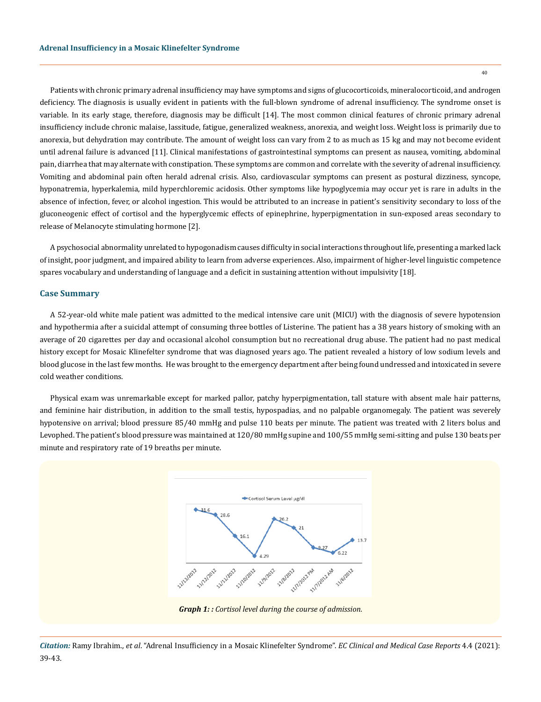Patients with chronic primary adrenal insufficiency may have symptoms and signs of glucocorticoids, mineralocorticoid, and androgen deficiency. The diagnosis is usually evident in patients with the full-blown syndrome of adrenal insufficiency. The syndrome onset is variable. In its early stage, therefore, diagnosis may be difficult [14]. The most common clinical features of chronic primary adrenal insufficiency include chronic malaise, lassitude, fatigue, generalized weakness, anorexia, and weight loss. Weight loss is primarily due to anorexia, but dehydration may contribute. The amount of weight loss can vary from 2 to as much as 15 kg and may not become evident until adrenal failure is advanced [11]. Clinical manifestations of gastrointestinal symptoms can present as nausea, vomiting, abdominal pain, diarrhea that may alternate with constipation. These symptoms are common and correlate with the severity of adrenal insufficiency. Vomiting and abdominal pain often herald adrenal crisis. Also, cardiovascular symptoms can present as postural dizziness, syncope, hyponatremia, hyperkalemia, mild hyperchloremic acidosis. Other symptoms like hypoglycemia may occur yet is rare in adults in the absence of infection, fever, or alcohol ingestion. This would be attributed to an increase in patient's sensitivity secondary to loss of the gluconeogenic effect of cortisol and the hyperglycemic effects of epinephrine, hyperpigmentation in sun-exposed areas secondary to release of Melanocyte stimulating hormone [2].

A psychosocial abnormality unrelated to hypogonadism causes difficulty in social interactions throughout life, presenting a marked lack of insight, poor judgment, and impaired ability to learn from adverse experiences. Also, impairment of higher-level linguistic competence spares vocabulary and understanding of language and a deficit in sustaining attention without impulsivity [18].

#### **Case Summary**

A 52-year-old white male patient was admitted to the medical intensive care unit (MICU) with the diagnosis of severe hypotension and hypothermia after a suicidal attempt of consuming three bottles of Listerine. The patient has a 38 years history of smoking with an average of 20 cigarettes per day and occasional alcohol consumption but no recreational drug abuse. The patient had no past medical history except for Mosaic Klinefelter syndrome that was diagnosed years ago. The patient revealed a history of low sodium levels and blood glucose in the last few months.  He was brought to the emergency department after being found undressed and intoxicated in severe cold weather conditions.

Physical exam was unremarkable except for marked pallor, patchy hyperpigmentation, tall stature with absent male hair patterns, and feminine hair distribution, in addition to the small testis, hypospadias, and no palpable organomegaly. The patient was severely hypotensive on arrival; blood pressure 85/40 mmHg and pulse 110 beats per minute. The patient was treated with 2 liters bolus and Levophed. The patient's blood pressure was maintained at 120/80 mmHg supine and 100/55 mmHg semi-sitting and pulse 130 beats per minute and respiratory rate of 19 breaths per minute.



*Graph 1: : Cortisol level during the course of admission.*

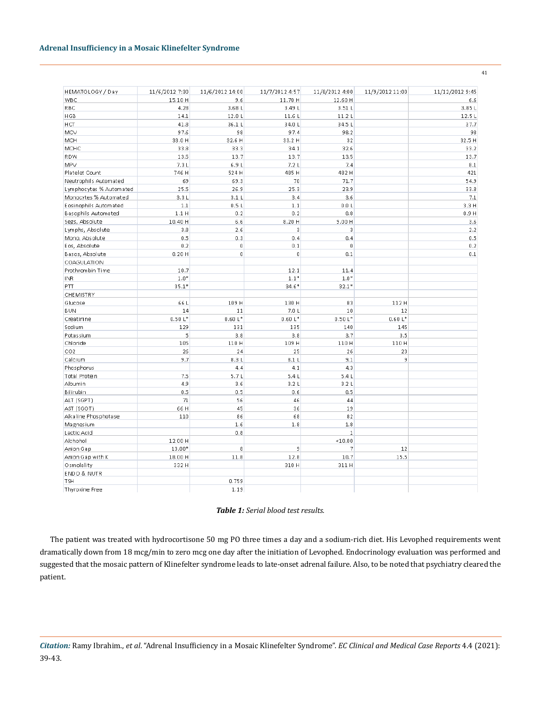| HEMATOLOGY / Day        | 11/6/2012 7:30 | 11/6/2012 14:00 | 11/7/2012 4:57 | 11/8/2012 4:00 | 11/9/2012 11:00 | 11/12/2012 9:45 |
|-------------------------|----------------|-----------------|----------------|----------------|-----------------|-----------------|
| WBC                     | 15.10 H        | 9.6             | 11.70 H        | 12.60 H        |                 | 6.6             |
| RBC                     | 4.28           | 3.68L           | 3.49L          | 3.51L          |                 | 3.85L           |
| <b>HGB</b>              | 14.1           | 12.0L           | 11.6L          | 11.2L          |                 | 12.5L           |
| HCT                     | 41.8           | 36.1L           | 34.0L          | 34.5L          |                 | 37.7            |
| MCV                     | 97.6           | 98              | 97.4           | 98.2           |                 | 98              |
| MCH                     | 33.0 H         | 32.6 H          | 33.2 H         | 32             |                 | 32.5 H          |
| MCHC                    | 33.8           | 33.3            | 34.1           | 32.6           |                 | 33.2            |
| RDW                     | 13.5           | 13.7            | 13.7           | 13.5           |                 | 13.7            |
| MPV                     | 7.3L           | 6.9L            | 7.2L           | 7,4            |                 | $_{\rm 8.1}$    |
| Platelet Count          | 746 H          | 524 H           | 485 H          | 482 H          |                 | 421             |
| Neutrophils Automated   | 69             | 69.3            | 70             | 71.7           |                 | 54.9            |
| Lymphocytes % Automated | 25.5           | 26.9            | 25.3           | 23.9           |                 | 33.8            |
| Monocytes % Automated   | 3.3L           | 3.1L            | 3,4            | 3.6            |                 | 7.1             |
| Eosinophils Automated   | 1.1            | 0.5L            | 1.1            | 0.0L           |                 | 3.3H            |
| Basophils Automated     | 1.1H           | 0.2             | 0.2            | 0.8            |                 | 0.9H            |
| Segs, Absolute          | 10.40 H        | 6.6             | 8.20 H         | 9.00H          |                 | 3.6             |
| Lymphs, Absolute        | 3.8            | 2.6             | 3              | $\lvert$ 3     |                 | 2.2             |
| Mono, Absolute          | 0.5            | 0.3             | 0.4            | 0,4            |                 | 0.5             |
| Eos, Absolute           | 0.2            | $\overline{0}$  | $0.1\,$        | $\overline{0}$ |                 | 0.2             |
| Basos, Absolute         | 0.20H          | $\overline{0}$  | $\mathbf 0$    | 0.1            |                 | 0.1             |
| COAGULATION             |                |                 |                |                |                 |                 |
| Prothrombin Time        | 10.7           |                 | 12.1           | 11.4           |                 |                 |
| INR.                    | $1.0*$         |                 | $1.1*$         | $1.0*$         |                 |                 |
| PΠ                      | $35.1*$        |                 | $34.6*$        | $32.1*$        |                 |                 |
| CHEMISTRY               |                |                 |                |                |                 |                 |
| Glucose                 | 66 L           | 109 H           | 130 H          | 83             | 112 H           |                 |
| <b>BUN</b>              | 14             | 11              | 7.0L           | 10             | 12              |                 |
| Creatinine              | $0.50L*$       | $0.60 L*$       | $0.60 L*$      | $0.50L*$       | $0.60 L*$       |                 |
| Sodium                  | 129            | 131             | 135            | 140            | 145             |                 |
| Potassium               | 5              | 3.8             | 3.8            | 3.7            | 3.5             |                 |
| Chloride                | 105            | 110 H           | 109 H          | 110 H          | 110 H           |                 |
| CO <sub>2</sub>         | 26             | 24              | 25             | 26             | 23              |                 |
| Calcium                 | 9.7            | 8.3L            | 8.1L           | 9.1            | 9               |                 |
| Phosphorus              |                | 4,4             | 4.1            | 4,3            |                 |                 |
| Total Protein           | 7.5            | 5.7L            | 5.4L           | 5.4L           |                 |                 |
| Albumin                 | 4.9            | 3.6             | 3.2L           | 3.2L           |                 |                 |
| Bilirubin               | 0.5            | 0.5             | 0.6            | 0.5            |                 |                 |
| ALT (SGPT)              | 71             | 56              | 46             | 44             |                 |                 |
| AST (SGOT)              | 66 H           | 45              | 36             | 19             |                 |                 |
| Alkaline Phosphotase    | 110            | 86              | 68             | 82             |                 |                 |
| Magnesium               |                | 1.6             | 1.8            | $1.8$          |                 |                 |
| Lactic Acid             |                | 0.8             |                | $1\,$          |                 |                 |
| Alchohol                | 12.00 H        |                 |                | ~10.00         |                 |                 |
| Anion Gap               | 13.00*         | 8               | 9              | 7              | 12              |                 |
| Anion Gap with K        | 18.00 H        | 11.8            | 12.8           | 10.7           | 15.5            |                 |
| Osmolality              | 332 H          |                 | 310 H          | 311 H          |                 |                 |
| ENDO & NUTR             |                |                 |                |                |                 |                 |
| <b>TSH</b>              |                | 0.759           |                |                |                 |                 |
| Thyroxine Free          |                | 1.19            |                |                |                 |                 |

## *Table 1: Serial blood test results.*

The patient was treated with hydrocortisone 50 mg PO three times a day and a sodium-rich diet. His Levophed requirements went dramatically down from 18 mcg/min to zero mcg one day after the initiation of Levophed. Endocrinology evaluation was performed and suggested that the mosaic pattern of Klinefelter syndrome leads to late-onset adrenal failure. Also, to be noted that psychiatry cleared the patient.

*Citation:* Ramy Ibrahim., *et al*. "Adrenal Insufficiency in a Mosaic Klinefelter Syndrome". *EC Clinical and Medical Case Reports* 4.4 (2021): 39-43.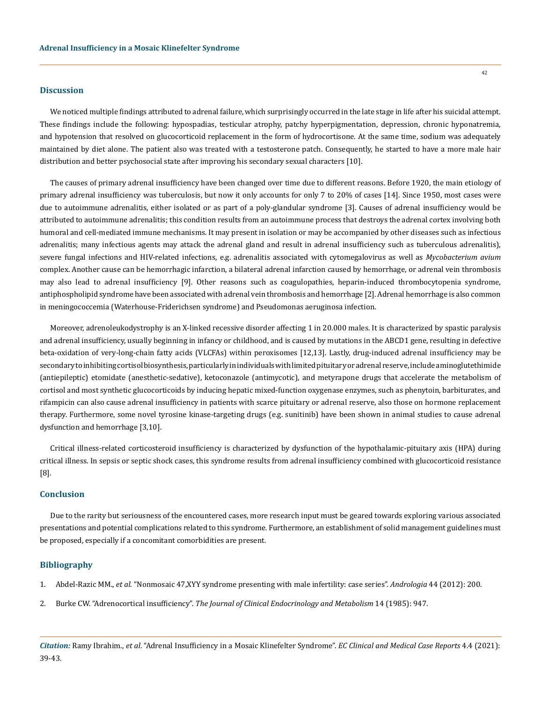#### **Discussion**

We noticed multiple findings attributed to adrenal failure, which surprisingly occurred in the late stage in life after his suicidal attempt. These findings include the following: hypospadias, testicular atrophy, patchy hyperpigmentation, depression, chronic hyponatremia, and hypotension that resolved on glucocorticoid replacement in the form of hydrocortisone. At the same time, sodium was adequately maintained by diet alone. The patient also was treated with a testosterone patch. Consequently, he started to have a more male hair distribution and better psychosocial state after improving his secondary sexual characters [10].

The causes of primary adrenal insufficiency have been changed over time due to different reasons. Before 1920, the main etiology of primary adrenal insufficiency was tuberculosis, but now it only accounts for only 7 to 20% of cases [14]. Since 1950, most cases were due to autoimmune adrenalitis, either isolated or as part of a poly-glandular syndrome [3]. Causes of adrenal insufficiency would be attributed to autoimmune adrenalitis; this condition results from an autoimmune process that destroys the adrenal cortex involving both humoral and cell-mediated immune mechanisms. It may present in isolation or may be accompanied by other diseases such as infectious adrenalitis; many infectious agents may attack the adrenal gland and result in adrenal insufficiency such as tuberculous adrenalitis), severe fungal infections and HIV-related infections, e.g. adrenalitis associated with cytomegalovirus as well as *Mycobacterium avium* complex. Another cause can be hemorrhagic infarction, a bilateral adrenal infarction caused by hemorrhage, or adrenal vein thrombosis may also lead to adrenal insufficiency [9]. Other reasons such as coagulopathies, heparin-induced thrombocytopenia syndrome, antiphospholipid syndrome have been associated with adrenal vein thrombosis and hemorrhage [2]. Adrenal hemorrhage is also common in meningococcemia (Waterhouse-Friderichsen syndrome) and Pseudomonas aeruginosa infection.

Moreover, adrenoleukodystrophy is an X-linked recessive disorder affecting 1 in 20.000 males. It is characterized by spastic paralysis and adrenal insufficiency, usually beginning in infancy or childhood, and is caused by mutations in the ABCD1 gene, resulting in defective beta-oxidation of very-long-chain fatty acids (VLCFAs) within peroxisomes [12,13]. Lastly, drug-induced adrenal insufficiency may be secondary to inhibiting cortisol biosynthesis, particularly in individuals with limited pituitary or adrenal reserve, include aminoglutethimide (antiepileptic) etomidate (anesthetic-sedative), ketoconazole (antimycotic), and metyrapone drugs that accelerate the metabolism of cortisol and most synthetic glucocorticoids by inducing hepatic mixed-function oxygenase enzymes, such as phenytoin, barbiturates, and rifampicin can also cause adrenal insufficiency in patients with scarce pituitary or adrenal reserve, also those on hormone replacement therapy. Furthermore, some novel tyrosine kinase-targeting drugs (e.g. sunitinib) have been shown in animal studies to cause adrenal dysfunction and hemorrhage [3,10].

Critical illness-related corticosteroid insufficiency is characterized by dysfunction of the hypothalamic-pituitary axis (HPA) during critical illness. In sepsis or septic shock cases, this syndrome results from adrenal insufficiency combined with glucocorticoid resistance [8]. 

## **Conclusion**

Due to the rarity but seriousness of the encountered cases, more research input must be geared towards exploring various associated presentations and potential complications related to this syndrome. Furthermore, an establishment of solid management guidelines must be proposed, especially if a concomitant comorbidities are present.

#### **Bibliography**

- 1. Abdel-Razic MM., *et al*[. "Nonmosaic 47,XYY syndrome presenting with male infertility: case series".](https://pubmed.ncbi.nlm.nih.gov/21671976/) *Andrologia* 44 (2012): 200.
- 2. Burke CW. "Adrenocortical insufficiency". *[The Journal of Clinical Endocrinology and Metabolism](https://pubmed.ncbi.nlm.nih.gov/3002680/)* 14 (1985): 947.

*Citation:* Ramy Ibrahim., *et al*. "Adrenal Insufficiency in a Mosaic Klinefelter Syndrome". *EC Clinical and Medical Case Reports* 4.4 (2021): 39-43.